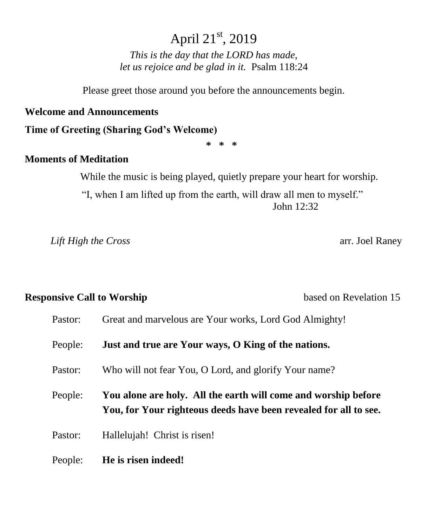# April  $21^{\text{st}}$ , 2019

*This is the day that the LORD has made, let us rejoice and be glad in it.* Psalm 118:24

Please greet those around you before the announcements begin.

#### **Welcome and Announcements**

**Time of Greeting (Sharing God's Welcome)**

**\* \* \***

#### **Moments of Meditation**

While the music is being played, quietly prepare your heart for worship. "I, when I am lifted up from the earth, will draw all men to myself."

John 12:32

 *Lift High the Cross* arr. Joel Raney

#### **Responsive Call to Worship based on Revelation 15**

- Pastor: Great and marvelous are Your works, Lord God Almighty!
- People: **Just and true are Your ways, O King of the nations.**
- Pastor: Who will not fear You, O Lord, and glorify Your name?
- People: **You alone are holy. All the earth will come and worship before You, for Your righteous deeds have been revealed for all to see.**
- Pastor: Hallelujah! Christ is risen!
- People: **He is risen indeed!**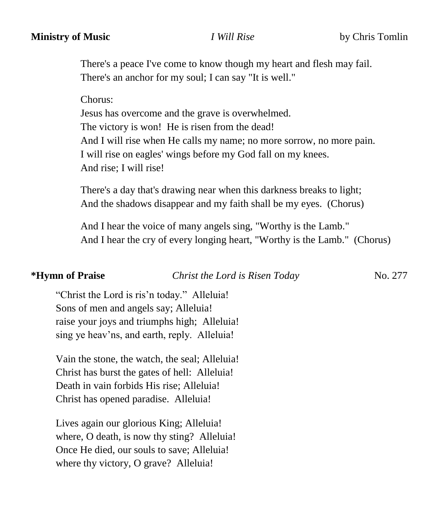There's a peace I've come to know though my heart and flesh may fail. There's an anchor for my soul; I can say "It is well."

Chorus:

Jesus has overcome and the grave is overwhelmed. The victory is won! He is risen from the dead! And I will rise when He calls my name; no more sorrow, no more pain. I will rise on eagles' wings before my God fall on my knees. And rise; I will rise!

There's a day that's drawing near when this darkness breaks to light; And the shadows disappear and my faith shall be my eyes. (Chorus)

And I hear the voice of many angels sing, "Worthy is the Lamb." And I hear the cry of every longing heart, "Worthy is the Lamb." (Chorus)

**\*Hymn of Praise** *Christ the Lord is Risen Today* No. 277

"Christ the Lord is ris'n today." Alleluia! Sons of men and angels say; Alleluia! raise your joys and triumphs high; Alleluia! sing ye heav'ns, and earth, reply. Alleluia!

Vain the stone, the watch, the seal; Alleluia! Christ has burst the gates of hell: Alleluia! Death in vain forbids His rise; Alleluia! Christ has opened paradise. Alleluia!

Lives again our glorious King; Alleluia! where, O death, is now thy sting? Alleluia! Once He died, our souls to save; Alleluia! where thy victory, O grave? Alleluia!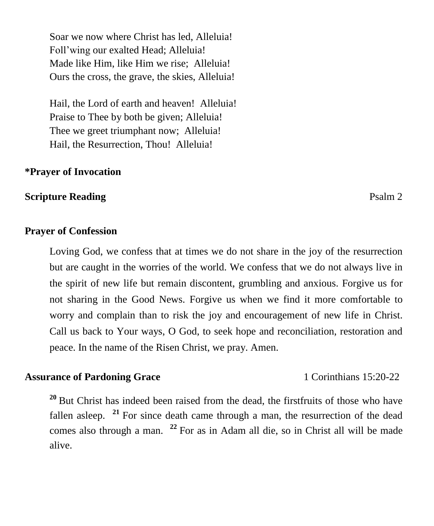Soar we now where Christ has led, Alleluia! Foll'wing our exalted Head; Alleluia! Made like Him, like Him we rise; Alleluia! Ours the cross, the grave, the skies, Alleluia!

Hail, the Lord of earth and heaven! Alleluia! Praise to Thee by both be given; Alleluia! Thee we greet triumphant now; Alleluia! Hail, the Resurrection, Thou! Alleluia!

### **\*Prayer of Invocation**

#### **Scripture Reading** Psalm 2

### **Prayer of Confession**

Loving God, we confess that at times we do not share in the joy of the resurrection but are caught in the worries of the world. We confess that we do not always live in the spirit of new life but remain discontent, grumbling and anxious. Forgive us for not sharing in the Good News. Forgive us when we find it more comfortable to worry and complain than to risk the joy and encouragement of new life in Christ. Call us back to Your ways, O God, to seek hope and reconciliation, restoration and peace. In the name of the Risen Christ, we pray. Amen.

#### Assurance of Pardoning Grace 1 Corinthians 15:20-22

**<sup>20</sup>** But Christ has indeed been raised from the dead, the firstfruits of those who have fallen asleep.  $21$  For since death came through a man, the resurrection of the dead comes also through a man. **<sup>22</sup>**For as in Adam all die, so in Christ all will be made alive.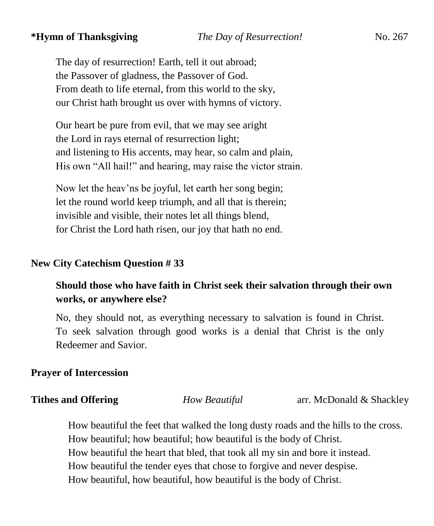#### **\*Hymn of Thanksgiving** *The Day of Resurrection!* No. 267

The day of resurrection! Earth, tell it out abroad; the Passover of gladness, the Passover of God. From death to life eternal, from this world to the sky, our Christ hath brought us over with hymns of victory.

Our heart be pure from evil, that we may see aright the Lord in rays eternal of resurrection light; and listening to His accents, may hear, so calm and plain, His own "All hail!" and hearing, may raise the victor strain.

Now let the heav'ns be joyful, let earth her song begin; let the round world keep triumph, and all that is therein; invisible and visible, their notes let all things blend, for Christ the Lord hath risen, our joy that hath no end.

#### **New City Catechism Question # 33**

## **Should those who have faith in Christ seek their salvation through their own works, or anywhere else?**

No, they should not, as everything necessary to salvation is found in Christ. To seek salvation through good works is a denial that Christ is the only Redeemer and Savior.

#### **Prayer of Intercession**

Tithes and Offering *How Beautiful* arr. McDonald & Shackley

How beautiful the feet that walked the long dusty roads and the hills to the cross. How beautiful; how beautiful; how beautiful is the body of Christ. How beautiful the heart that bled, that took all my sin and bore it instead. How beautiful the tender eyes that chose to forgive and never despise. How beautiful, how beautiful, how beautiful is the body of Christ.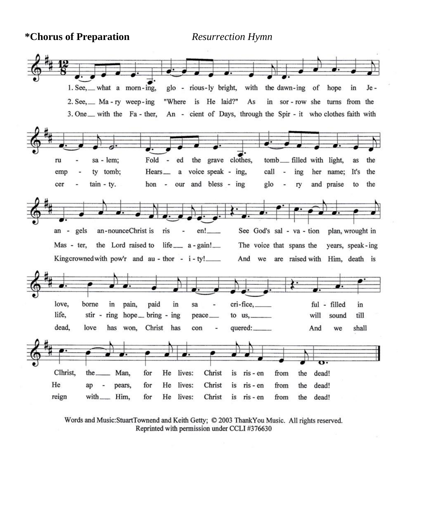**\*Chorus of Preparation** *Resurrection Hymn*



Words and Music: StuartTownend and Keith Getty; © 2003 ThankYou Music. All rights reserved. Reprinted with permission under CCLI #376630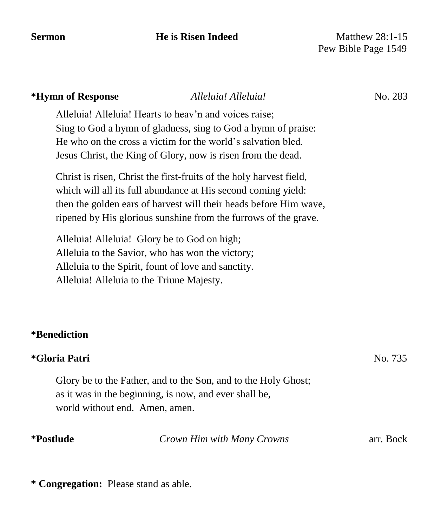**Sermon He is Risen Indeed Matthew 28:1-15** Pew Bible Page 1549

### **\*Hymn of Response** *Alleluia! Alleluia!* No. 283

Alleluia! Alleluia! Hearts to heav'n and voices raise; Sing to God a hymn of gladness, sing to God a hymn of praise: He who on the cross a victim for the world's salvation bled. Jesus Christ, the King of Glory, now is risen from the dead.

Christ is risen, Christ the first-fruits of the holy harvest field, which will all its full abundance at His second coming yield: then the golden ears of harvest will their heads before Him wave, ripened by His glorious sunshine from the furrows of the grave.

Alleluia! Alleluia! Glory be to God on high; Alleluia to the Savior, who has won the victory; Alleluia to the Spirit, fount of love and sanctity. Alleluia! Alleluia to the Triune Majesty.

### **\*Benediction**

### **\*Gloria Patri** No. 735

Glory be to the Father, and to the Son, and to the Holy Ghost; as it was in the beginning, is now, and ever shall be, world without end. Amen, amen.

**\*Postlude** *Crown Him with Many Crowns* arr. Bock

**\* Congregation:** Please stand as able.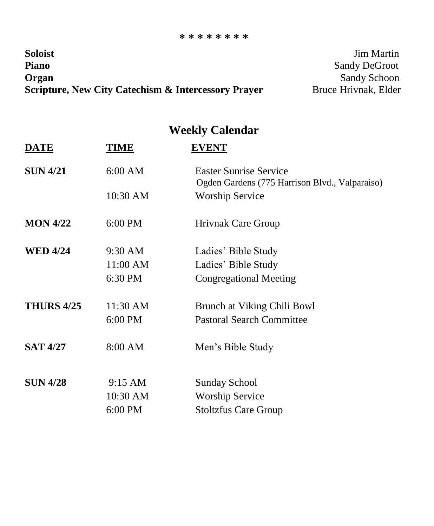| <b>Soloist</b>                                                 |  |
|----------------------------------------------------------------|--|
| <b>Piano</b>                                                   |  |
| Organ                                                          |  |
| <b>Scripture, New City Catechism &amp; Intercessory Prayer</b> |  |

**Soloist** Jim Martin **Sandy DeGroot Sandy Schoon** Bruce Hrivnak, Elder

# **Weekly Calendar**

| <b>DATE</b>       | TIME     | <b>EVENT</b>                                                                    |
|-------------------|----------|---------------------------------------------------------------------------------|
| <b>SUN 4/21</b>   | 6:00 AM  | <b>Easter Sunrise Service</b><br>Ogden Gardens (775 Harrison Blvd., Valparaiso) |
|                   | 10:30 AM | <b>Worship Service</b>                                                          |
| <b>MON 4/22</b>   | 6:00 PM  | Hrivnak Care Group                                                              |
| <b>WED 4/24</b>   | 9:30 AM  | Ladies' Bible Study                                                             |
|                   | 11:00 AM | Ladies' Bible Study                                                             |
|                   | 6:30 PM  | <b>Congregational Meeting</b>                                                   |
| <b>THURS 4/25</b> | 11:30 AM | Brunch at Viking Chili Bowl                                                     |
|                   | 6:00 PM  | <b>Pastoral Search Committee</b>                                                |
| <b>SAT 4/27</b>   | 8:00 AM  | Men's Bible Study                                                               |
| <b>SUN 4/28</b>   | 9:15 AM  | <b>Sunday School</b>                                                            |
|                   | 10:30 AM | <b>Worship Service</b>                                                          |
|                   | 6:00 PM  | <b>Stoltzfus Care Group</b>                                                     |
|                   |          |                                                                                 |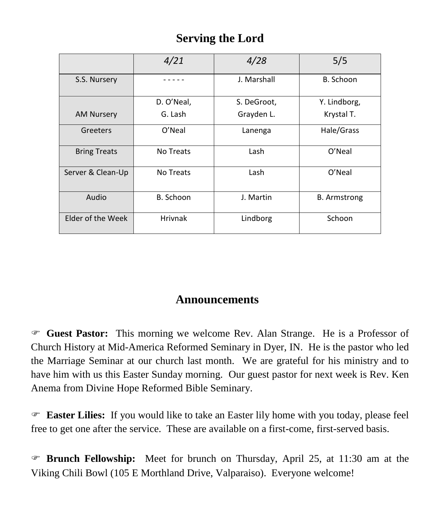## **Serving the Lord**

|                     | 4/21           | 4/28        | 5/5                 |
|---------------------|----------------|-------------|---------------------|
| S.S. Nursery        |                | J. Marshall | B. Schoon           |
|                     | D. O'Neal,     | S. DeGroot, | Y. Lindborg,        |
| <b>AM Nursery</b>   | G. Lash        | Grayden L.  | Krystal T.          |
| Greeters            | O'Neal         | Lanenga     | Hale/Grass          |
| <b>Bring Treats</b> | No Treats      | Lash        | O'Neal              |
| Server & Clean-Up   | No Treats      | Lash        | O'Neal              |
| Audio               | B. Schoon      | J. Martin   | <b>B.</b> Armstrong |
| Elder of the Week   | <b>Hrivnak</b> | Lindborg    | Schoon              |

## **Announcements**

 **Guest Pastor:** This morning we welcome Rev. Alan Strange. He is a Professor of Church History at Mid-America Reformed Seminary in Dyer, IN. He is the pastor who led the Marriage Seminar at our church last month. We are grateful for his ministry and to have him with us this Easter Sunday morning. Our guest pastor for next week is Rev. Ken Anema from Divine Hope Reformed Bible Seminary.

 **Easter Lilies:** If you would like to take an Easter lily home with you today, please feel free to get one after the service. These are available on a first-come, first-served basis.

 **Brunch Fellowship:** Meet for brunch on Thursday, April 25, at 11:30 am at the Viking Chili Bowl (105 E Morthland Drive, Valparaiso). Everyone welcome!